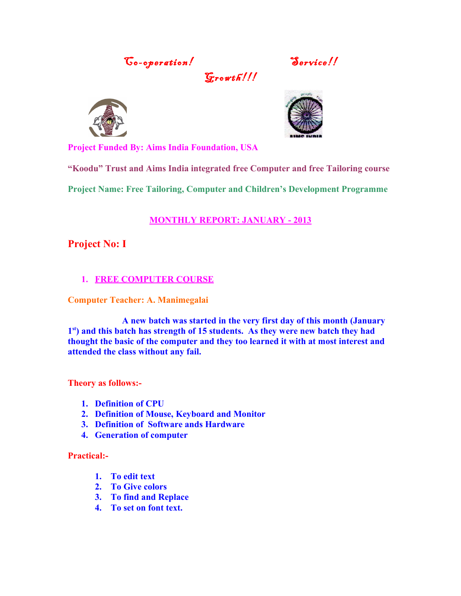Go-operation! Service!!

 $G$ rowth $\frac{H}{I}$ 





**Project Funded By: Aims India Foundation, USA**

**"Koodu" Trust and Aims India integrated free Computer and free Tailoring course**

**Project Name: Free Tailoring, Computer and Children's Development Programme**

### **MONTHLY REPORT: JANUARY - 2013**

### **Project No: I**

### **1. FREE COMPUTER COURSE**

### **Computer Teacher: A. Manimegalai**

**A new batch was started in the very first day of this month (January** 1<sup>st</sup>) and this batch has strength of 15 students. As they were new batch they had **thought the basic of the computer and they too learned it with at most interest and attended the class without any fail.**

**Theory as follows:-**

- **1. Definition of CPU**
- **2. Definition of Mouse, Keyboard and Monitor**
- **3. Definition of Software ands Hardware**
- **4. Generation of computer**

**Practical:-**

- **1. To edit text**
- **2. To Give colors**
- **3. To find and Replace**
- **4. To set on font text.**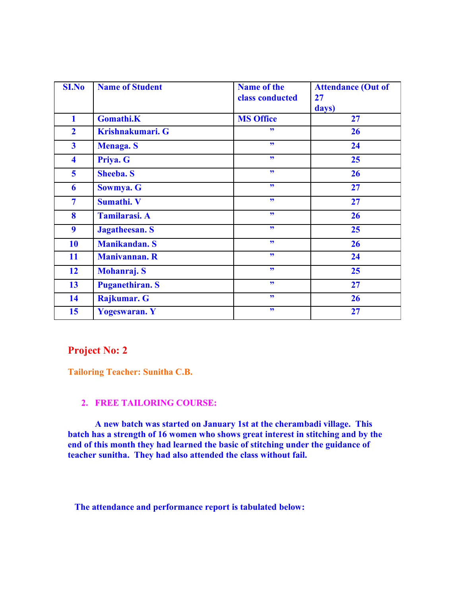| <b>SI.No</b>            | <b>Name of Student</b> | <b>Name of the</b><br>class conducted | <b>Attendance (Out of</b><br>27 |
|-------------------------|------------------------|---------------------------------------|---------------------------------|
|                         |                        |                                       | days)                           |
| $\mathbf{1}$            | <b>Gomathi.K</b>       | <b>MS Office</b>                      | 27                              |
| $\overline{2}$          | Krishnakumari. G       | 99                                    | 26                              |
| $\overline{\mathbf{3}}$ | Menaga. S              | 99 <sub>°</sub>                       | 24                              |
| $\overline{\mathbf{4}}$ | Priya. G               | 99 <sub>°</sub>                       | 25                              |
| 5                       | <b>Sheeba. S</b>       | 55                                    | 26                              |
| 6                       | Sowmya. G              | 99 <sub>°</sub>                       | 27                              |
| $\overline{7}$          | Sumathi. V             | 99                                    | 27                              |
| 8                       | <b>Tamilarasi. A</b>   | 55                                    | 26                              |
| 9                       | <b>Jagatheesan. S</b>  | 99                                    | 25                              |
| 10                      | <b>Manikandan. S</b>   | 99 <sub>°</sub>                       | 26                              |
| 11                      | <b>Manivannan. R</b>   | 99                                    | 24                              |
| 12                      | <b>Mohanraj. S</b>     | 99 <sub>°</sub>                       | 25                              |
| 13                      | <b>Puganethiran. S</b> | 99 <sub>°</sub>                       | 27                              |
| 14                      | Rajkumar. G            | 99 <sub>1</sub>                       | 26                              |
| 15                      | <b>Yogeswaran.</b> Y   | 99                                    | 27                              |

### **Project No: 2**

**Tailoring Teacher: Sunitha C.B.**

### **2. FREE TAILORING COURSE:**

**A new batch was started on January 1st at the cherambadi village. This batch has a strength of 16 women who shows great interest in stitching and by the end of this month they had learned the basic of stitching under the guidance of teacher sunitha. They had also attended the class without fail.** 

 **The attendance and performance report is tabulated below:**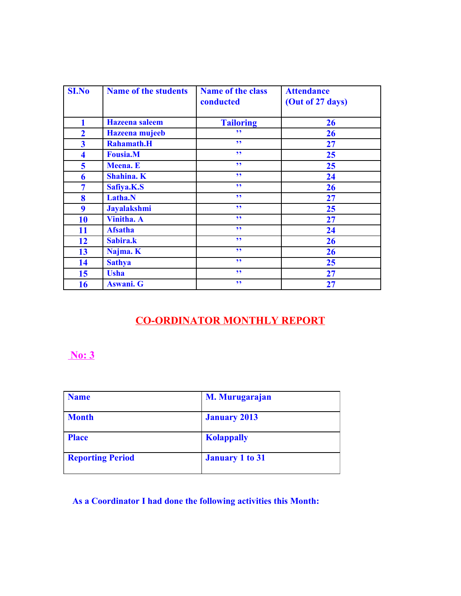| <b>SI.No</b>            | <b>Name of the students</b> | <b>Name of the class</b><br>conducted | <b>Attendance</b><br>(Out of 27 days) |
|-------------------------|-----------------------------|---------------------------------------|---------------------------------------|
| 1                       | <b>Hazeena</b> saleem       | <b>Tailoring</b>                      | 26                                    |
| $\overline{2}$          | Hazeena mujeeb              | ,,                                    | 26                                    |
| $\overline{\mathbf{3}}$ | <b>Rahamath.H</b>           | 99                                    | 27                                    |
| $\overline{\mathbf{4}}$ | <b>Fousia.M</b>             | 99                                    | 25                                    |
| 5                       | <b>Meena.</b> E             | 99                                    | 25                                    |
| 6                       | Shahina. K                  | 99                                    | 24                                    |
| 7                       | Safiya.K.S                  | 99                                    | 26                                    |
| 8                       | Latha.N                     | 99                                    | 27                                    |
| 9                       | <b>Jayalakshmi</b>          | 99                                    | 25                                    |
| 10                      | <b>Vinitha. A</b>           | 99                                    | 27                                    |
| 11                      | <b>Afsatha</b>              | 99                                    | 24                                    |
| 12                      | Sabira.k                    | 99                                    | 26                                    |
| 13                      | Najma. K                    | 99                                    | 26                                    |
| 14                      | <b>Sathya</b>               | ,,                                    | 25                                    |
| 15                      | <b>Usha</b>                 | ,,                                    | 27                                    |
| <b>16</b>               | <b>Aswani</b> . G           | 99                                    | 27                                    |

# **CO-ORDINATOR MONTHLY REPORT**

## **No: 3**

| <b>Name</b>             | M. Murugarajan         |
|-------------------------|------------------------|
| <b>Month</b>            | <b>January 2013</b>    |
| <b>Place</b>            | <b>Kolappally</b>      |
| <b>Reporting Period</b> | <b>January 1 to 31</b> |

## **As a Coordinator I had done the following activities this Month:**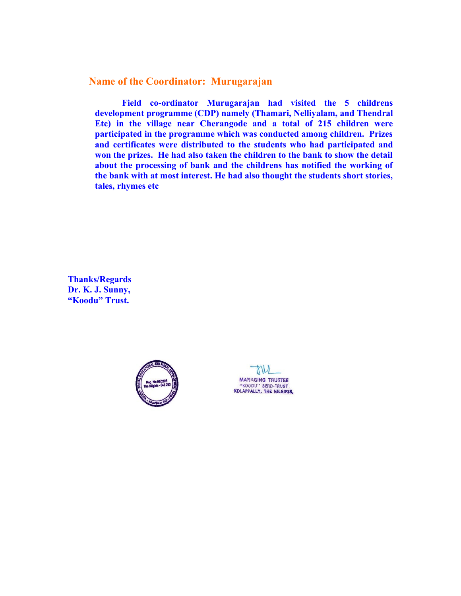**Name of the Coordinator: Murugarajan**

**Field co-ordinator Murugarajan had visited the 5 childrens development programme (CDP) namely (Thamari, Nelliyalam, and Thendral Etc) in the village near Cherangode and a total of 215 children were participated in the programme which was conducted among children. Prizes and certificates were distributed to the students who had participated and won the prizes. He had also taken the children to the bank to show the detail about the processing of bank and the childrens has notified the working of the bank with at most interest. He had also thought the students short stories, tales, rhymes etc** 

**Thanks/Regards Dr. K. J. Sunny, "Koodu" Trust.**



**MANAGING TRUSTEE** "KOODU" SERD-TRUST